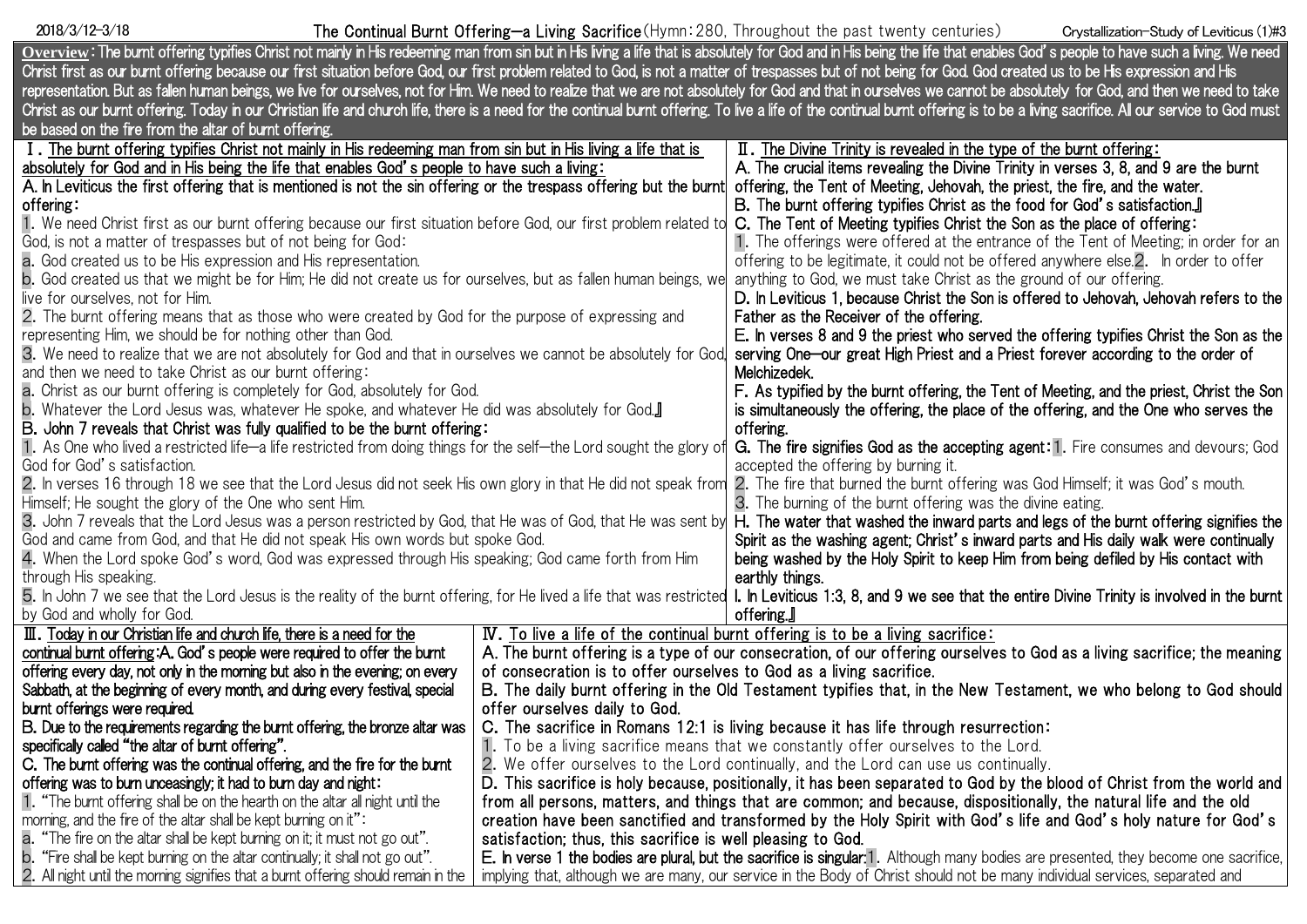## The Continual Burnt Offering—a Living Sacrifice(Hymn:280, Throughout the past twenty centuries) 2018/3/12-3/18 Crystallization-Study of Leviticus (1)#3

| Overview: The burnt offering typifies Christ not mainly in His redeeming man from sin but in His living a life that is absolutely for God and in His being the life that enables God's people to have such a living. We need                     |                                                                     |                                                                                                                                                                                                                                |  |
|--------------------------------------------------------------------------------------------------------------------------------------------------------------------------------------------------------------------------------------------------|---------------------------------------------------------------------|--------------------------------------------------------------------------------------------------------------------------------------------------------------------------------------------------------------------------------|--|
|                                                                                                                                                                                                                                                  |                                                                     | Christ first as our burnt offering because our first situation before God, our first problem related to God, is not a matter of trespasses but of not being for God. God created us to be His expression and His               |  |
|                                                                                                                                                                                                                                                  |                                                                     | representation. But as fallen human beings, we live for ourselves, not for Him. We need to realize that we are not absolutely for God and that in ourselves we cannot be absolutely for God, and then we need to take          |  |
|                                                                                                                                                                                                                                                  |                                                                     | Christ as our burnt offering. Today in our Christian life and church life, there is a need for the continual burnt offering. To live a life of the continual burnt offering is to be a living sacrifice. All our service to Go |  |
| be based on the fire from the altar of burnt offering.                                                                                                                                                                                           |                                                                     |                                                                                                                                                                                                                                |  |
| I. The burnt offering typifies Christ not mainly in His redeeming man from sin but in His living a life that is                                                                                                                                  |                                                                     | II. The Divine Trinity is revealed in the type of the burnt offering:                                                                                                                                                          |  |
| absolutely for God and in His being the life that enables God's people to have such a living:                                                                                                                                                    |                                                                     | A. The crucial items revealing the Divine Trinity in verses 3, 8, and 9 are the burnt                                                                                                                                          |  |
| A. In Leviticus the first offering that is mentioned is not the sin offering or the trespass offering but the burnt                                                                                                                              |                                                                     | offering, the Tent of Meeting, Jehovah, the priest, the fire, and the water.                                                                                                                                                   |  |
| offering:                                                                                                                                                                                                                                        |                                                                     | B. The burnt offering typifies Christ as the food for God's satisfaction.]                                                                                                                                                     |  |
| 1. We need Christ first as our burnt offering because our first situation before God, our first problem related to                                                                                                                               |                                                                     | C. The Tent of Meeting typifies Christ the Son as the place of offering:                                                                                                                                                       |  |
| God, is not a matter of trespasses but of not being for God:                                                                                                                                                                                     |                                                                     | 1. The offerings were offered at the entrance of the Tent of Meeting; in order for an                                                                                                                                          |  |
| a. God created us to be His expression and His representation.                                                                                                                                                                                   |                                                                     | offering to be legitimate, it could not be offered anywhere else.2. In order to offer                                                                                                                                          |  |
| b. God created us that we might be for Him; He did not create us for ourselves, but as fallen human beings, wel                                                                                                                                  |                                                                     | anything to God, we must take Christ as the ground of our offering.                                                                                                                                                            |  |
| live for ourselves, not for Him.                                                                                                                                                                                                                 |                                                                     | D. In Leviticus 1, because Christ the Son is offered to Jehovah, Jehovah refers to the                                                                                                                                         |  |
| 2. The burnt offering means that as those who were created by God for the purpose of expressing and                                                                                                                                              |                                                                     | Father as the Receiver of the offering.                                                                                                                                                                                        |  |
| representing Him, we should be for nothing other than God.                                                                                                                                                                                       |                                                                     | E. In verses 8 and 9 the priest who served the offering typifies Christ the Son as the                                                                                                                                         |  |
| 3. We need to realize that we are not absolutely for God and that in ourselves we cannot be absolutely for God                                                                                                                                   |                                                                     | serving One—our great High Priest and a Priest forever according to the order of                                                                                                                                               |  |
| and then we need to take Christ as our burnt offering:                                                                                                                                                                                           |                                                                     | Melchizedek.                                                                                                                                                                                                                   |  |
| a. Christ as our burnt offering is completely for God, absolutely for God.                                                                                                                                                                       |                                                                     | F. As typified by the burnt offering, the Tent of Meeting, and the priest, Christ the Son                                                                                                                                      |  |
| b. Whatever the Lord Jesus was, whatever He spoke, and whatever He did was absolutely for God.』                                                                                                                                                  |                                                                     | is simultaneously the offering, the place of the offering, and the One who serves the                                                                                                                                          |  |
| B. John 7 reveals that Christ was fully qualified to be the burnt offering:                                                                                                                                                                      |                                                                     | offering.                                                                                                                                                                                                                      |  |
| 1. As One who lived a restricted life—a life restricted from doing things for the self—the Lord sought the glory of                                                                                                                              |                                                                     | G. The fire signifies God as the accepting agent: 1. Fire consumes and devours; God                                                                                                                                            |  |
| God for God's satisfaction.                                                                                                                                                                                                                      |                                                                     | accepted the offering by burning it.                                                                                                                                                                                           |  |
| 2. In verses 16 through 18 we see that the Lord Jesus did not seek His own glory in that He did not speak from 2. The fire that burned the burnt offering was God Himself; it was God's mouth.                                                   |                                                                     |                                                                                                                                                                                                                                |  |
| Himself; He sought the glory of the One who sent Him.                                                                                                                                                                                            |                                                                     | 3. The burning of the burnt offering was the divine eating.                                                                                                                                                                    |  |
| 3. John 7 reveals that the Lord Jesus was a person restricted by God, that He was of God, that He was sent by <b>H. The water that washed the inward parts and legs of the burnt offering signifies the</b>                                      |                                                                     |                                                                                                                                                                                                                                |  |
| God and came from God, and that He did not speak His own words but spoke God.                                                                                                                                                                    |                                                                     | Spirit as the washing agent; Christ's inward parts and His daily walk were continually                                                                                                                                         |  |
| 4. When the Lord spoke God's word, God was expressed through His speaking; God came forth from Him                                                                                                                                               |                                                                     | being washed by the Holy Spirit to keep Him from being defiled by His contact with<br>earthly things.                                                                                                                          |  |
| through His speaking.                                                                                                                                                                                                                            |                                                                     |                                                                                                                                                                                                                                |  |
| 5. In John 7 we see that the Lord Jesus is the reality of the burnt offering, for He lived a life that was restricted 1. In Leviticus 1:3, 8, and 9 we see that the entire Divine Trinity is involved in the burnt<br>by God and wholly for God. |                                                                     | offering.                                                                                                                                                                                                                      |  |
| $III.$ Today in our Christian life and church life, there is a need for the                                                                                                                                                                      |                                                                     | IV. To live a life of the continual burnt offering is to be a living sacrifice:                                                                                                                                                |  |
| continual burnt offering: A. God's people were required to offer the burnt                                                                                                                                                                       |                                                                     | A. The burnt offering is a type of our consecration, of our offering ourselves to God as a living sacrifice; the meaning                                                                                                       |  |
| offering every day, not only in the morning but also in the evening; on every                                                                                                                                                                    | of consecration is to offer ourselves to God as a living sacrifice. |                                                                                                                                                                                                                                |  |
| Sabbath, at the beginning of every month, and during every festival, special                                                                                                                                                                     |                                                                     | B. The daily burnt offering in the Old Testament typifies that, in the New Testament, we who belong to God should                                                                                                              |  |
| burnt offerings were required.                                                                                                                                                                                                                   | offer ourselves daily to God.                                       |                                                                                                                                                                                                                                |  |
| B. Due to the requirements regarding the burnt offering, the bronze altar was                                                                                                                                                                    |                                                                     | C. The sacrifice in Romans 12:1 is living because it has life through resurrection:                                                                                                                                            |  |
| specifically called "the altar of burnt offering".                                                                                                                                                                                               |                                                                     | 1. To be a living sacrifice means that we constantly offer ourselves to the Lord.                                                                                                                                              |  |
| C. The burnt offering was the continual offering, and the fire for the burnt                                                                                                                                                                     |                                                                     | 2. We offer ourselves to the Lord continually, and the Lord can use us continually.                                                                                                                                            |  |
| offering was to burn unceasingly; it had to burn day and night:                                                                                                                                                                                  |                                                                     | D. This sacrifice is holy because, positionally, it has been separated to God by the blood of Christ from the world and                                                                                                        |  |
| 1. "The burnt offering shall be on the hearth on the altar all night until the                                                                                                                                                                   |                                                                     | from all persons, matters, and things that are common; and because, dispositionally, the natural life and the old                                                                                                              |  |
| morning, and the fire of the altar shall be kept burning on it":                                                                                                                                                                                 |                                                                     | creation have been sanctified and transformed by the Holy Spirit with God's life and God's holy nature for God's                                                                                                               |  |
| a. "The fire on the altar shall be kept burning on it; it must not go out".<br>satisfaction; thus, this sacrifice is well pleasing to God.                                                                                                       |                                                                     |                                                                                                                                                                                                                                |  |
| b. "Fire shall be kept burning on the altar continually; it shall not go out".                                                                                                                                                                   |                                                                     | <b>E.</b> In verse 1 the bodies are plural, but the sacrifice is singular: 1. Although many bodies are presented, they become one sacrifice,                                                                                   |  |
| 2. All night until the morning signifies that a burnt offering should remain in the                                                                                                                                                              |                                                                     | implying that, although we are many, our service in the Body of Christ should not be many individual services, separated and                                                                                                   |  |
|                                                                                                                                                                                                                                                  |                                                                     |                                                                                                                                                                                                                                |  |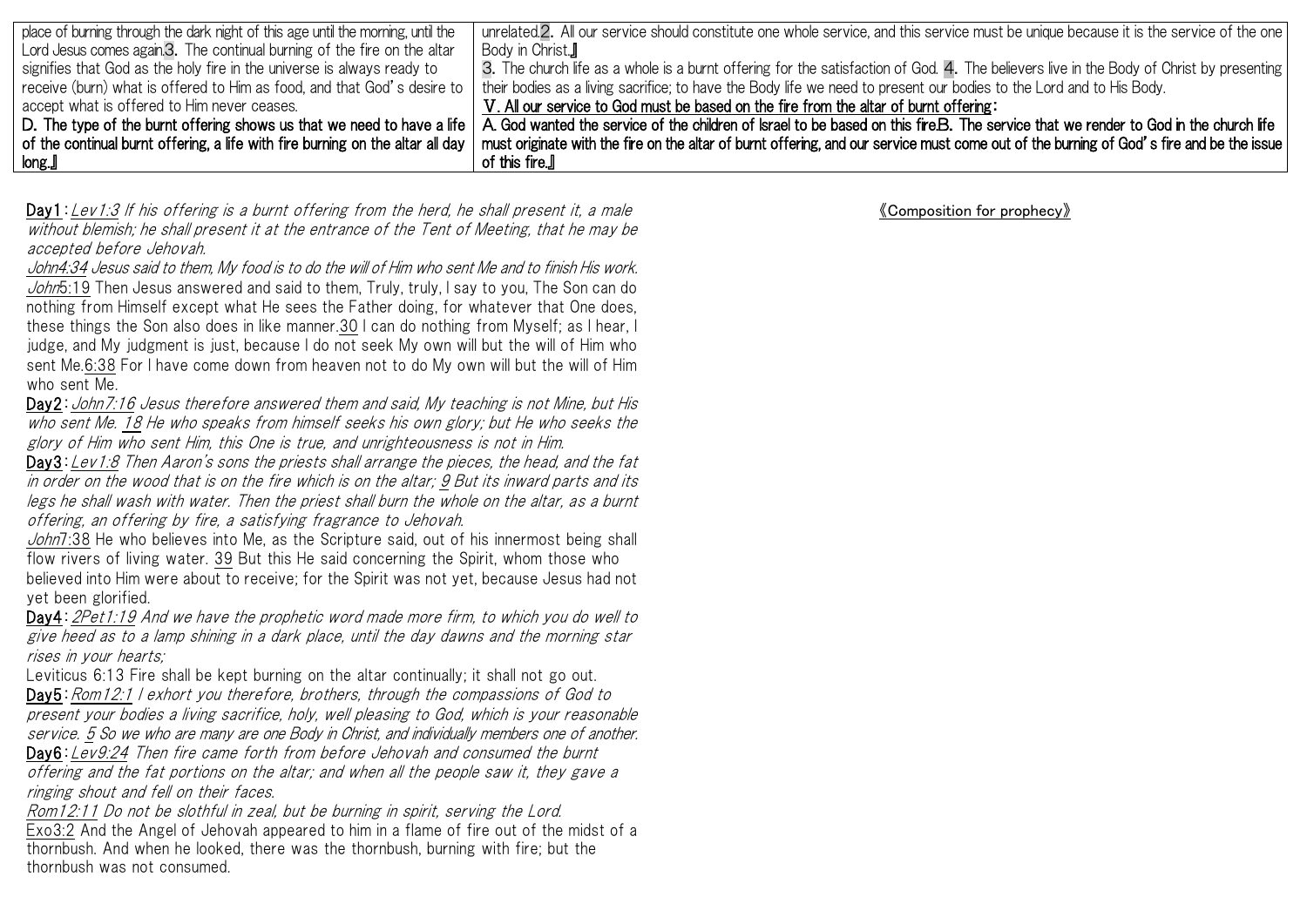| place of burning through the dark night of this age until the morning, until the | unrelated.2. All our service should constitute one whole service, and this service must be unique because it is the service of the one                                                                        |
|----------------------------------------------------------------------------------|---------------------------------------------------------------------------------------------------------------------------------------------------------------------------------------------------------------|
| Lord Jesus comes again.3. The continual burning of the fire on the altar         | Body in Christ.』                                                                                                                                                                                              |
| signifies that God as the holy fire in the universe is always ready to           | 3. The church life as a whole is a burnt offering for the satisfaction of God. 4. The believers live in the Body of Christ by presenting                                                                      |
| receive (burn) what is offered to Him as food, and that God's desire to          | their bodies as a living sacrifice; to have the Body life we need to present our bodies to the Lord and to His Body.                                                                                          |
| accept what is offered to Him never ceases.                                      | V. All our service to God must be based on the fire from the altar of burnt offering:                                                                                                                         |
|                                                                                  | D. The type of the burnt offering shows us that we need to have a life   A. God wanted the service of the children of Israel to be based on this fire.B. The service that we render to God in the church life |
| of the continual burnt offering, a life with fire burning on the altar all day   | $\mid$ must originate with the fire on the altar of burnt offering, and our service must come out of the burning of God's fire and be the issue $\mid$                                                        |
| long.』                                                                           | of this fire.』                                                                                                                                                                                                |

 $Day1:Lev1:3$  If his offering is a burnt offering from the herd, he shall present it, a male without blemish; he shall present it at the entrance of the Tent of Meeting, that he may be accepted before Jehovah.

John4:34 Jesus said to them, My food is to do the will of Him who sent Me and to finish His work. John5:19 Then Jesus answered and said to them, Truly, truly, I say to you, The Son can do nothing from Himself except what He sees the Father doing, for whatever that One does, these things the Son also does in like manner.30 I can do nothing from Myself; as I hear, I judge, and My judgment is just, because I do not seek My own will but the will of Him who sent Me.6:38 For I have come down from heaven not to do My own will but the will of Him who sent Me.

Day2: John7:16 Jesus therefore answered them and said, My teaching is not Mine, but His who sent Me. 18 He who speaks from himself seeks his own glory; but He who seeks the glory of Him who sent Him, this One is true, and unrighteousness is not in Him.

Day3:Lev1:8 Then Aaron's sons the priests shall arrange the pieces, the head, and the fat in order on the wood that is on the fire which is on the altar; 9 But its inward parts and its legs he shall wash with water. Then the priest shall burn the whole on the altar, as a burnt offering, an offering by fire, a satisfying fragrance to Jehovah.

 $J\phi\hbar\eta$ :38 He who believes into Me, as the Scripture said, out of his innermost being shall flow rivers of living water. 39 But this He said concerning the Spirit, whom those who believed into Him were about to receive; for the Spirit was not yet, because Jesus had not yet been glorified.

Day4:2Pet1:19 And we have the prophetic word made more firm, to which you do well to give heed as to a lamp shining in a dark place, until the day dawns and the morning star rises in your hearts;

Leviticus 6:13 Fire shall be kept burning on the altar continually; it shall not go out. Day5: Rom12:1 I exhort you therefore, brothers, through the compassions of God to present your bodies a living sacrifice, holy, well pleasing to God, which is your reasonable service. 5 So we who are many are one Body in Christ, and individually members one of another.

Day6:Lev9:24 Then fire came forth from before Jehovah and consumed the burnt offering and the fat portions on the altar; and when all the people saw it, they gave a ringing shout and fell on their faces.

Rom12:11 Do not be slothful in zeal, but be burning in spirit, serving the Lord. Exo3:2 And the Angel of Jehovah appeared to him in a flame of fire out of the midst of a thornbush. And when he looked, there was the thornbush, burning with fire; but the thornbush was not consumed.

《Composition for prophecy》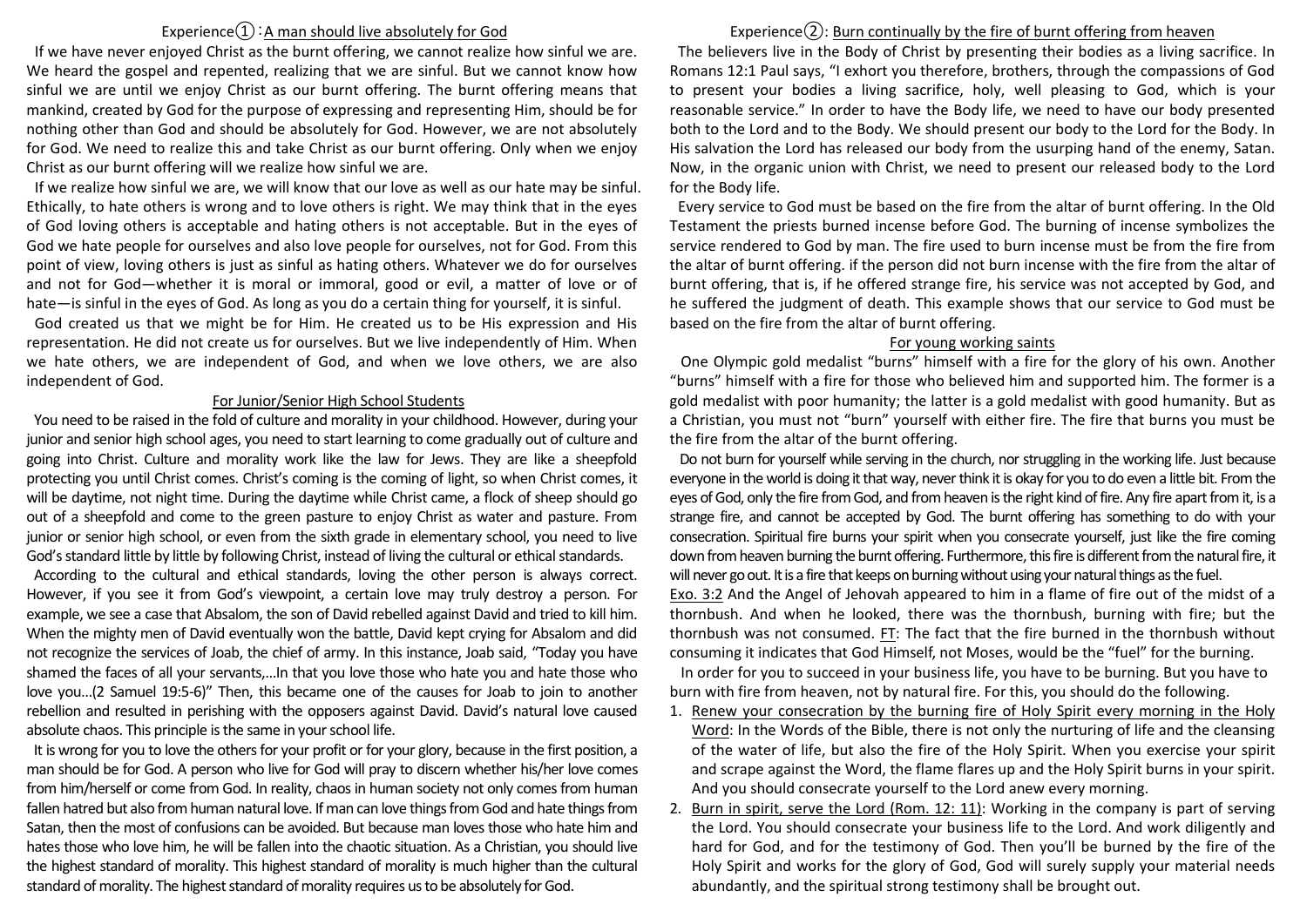## Experience $(1)$ : A man should live absolutely for God

If we have never enjoyed Christ as the burnt offering, we cannot realize how sinful we are. We heard the gospel and repented, realizing that we are sinful. But we cannot know how sinful we are until we enjoy Christ as our burnt offering. The burnt offering means that mankind, created by God for the purpose of expressing and representing Him, should be for nothing other than God and should be absolutely for God. However, we are not absolutely for God. We need to realize this and take Christ as our burnt offering. Only when we enjoy Christ as our burnt offering will we realize how sinful we are.

If we realize how sinful we are, we will know that our love as well as our hate may be sinful. Ethically, to hate others is wrong and to love others is right. We may think that in the eyes of God loving others is acceptable and hating others is not acceptable. But in the eyes of God we hate people for ourselves and also love people for ourselves, not for God. From this point of view, loving others is just as sinful as hating others. Whatever we do for ourselves and not for God—whether it is moral or immoral, good or evil, a matter of love or of hate—is sinful in the eyes of God. As long as you do a certain thing for yourself, it is sinful.

God created us that we might be for Him. He created us to be His expression and His representation. He did not create us for ourselves. But we live independently of Him. When we hate others, we are independent of God, and when we love others, we are also independent of God.

#### For Junior/Senior High School Students

You need to be raised in the fold of culture and morality in your childhood. However, during your junior and senior high school ages, you need to start learning to come gradually out of culture and going into Christ. Culture and morality work like the law for Jews. They are like a sheepfold protecting you until Christ comes. Christ's coming is the coming of light, so when Christ comes, it will be daytime, not night time. During the daytime while Christ came, a flock of sheep should go out of a sheepfold and come to the green pasture to enjoy Christ as water and pasture. From junior or senior high school, or even from the sixth grade in elementary school, you need to live God's standard little by little by following Christ, instead of living the cultural or ethical standards.

According to the cultural and ethical standards, loving the other person is always correct. However, if you see it from God's viewpoint, a certain love may truly destroy a person. For example, we see a case that Absalom, the son of David rebelled against David and tried to kill him. When the mighty men of David eventually won the battle, David kept crying for Absalom and did not recognize the services of Joab, the chief of army. In this instance, Joab said, "Today you have shamed the faces of all your servants,...In that you love those who hate you and hate those who love you...(2 Samuel 19:5-6)" Then, this became one of the causes for Joab to join to another rebellion and resulted in perishing with the opposers against David. David's natural love caused absolute chaos. This principle is the same in your school life.

It is wrong for you to love the others for your profit or for your glory, because in the first position, a man should be for God. A person who live for God will pray to discern whether his/her love comes from him/herself or come from God. In reality, chaos in human society not only comes from human fallen hatred but also from human natural love. If man can love things from God and hate things from Satan, then the most of confusions can be avoided. But because man loves those who hate him and hates those who love him, he will be fallen into the chaotic situation. As a Christian, you should live the highest standard of morality. This highest standard of morality is much higher than the cultural standard of morality. The highest standard of morality requires us to be absolutely for God.

## Experience $(2)$ : Burn continually by the fire of burnt offering from heaven

The believers live in the Body of Christ by presenting their bodies as a living sacrifice. In Romans 12:1 Paul says, "I exhort you therefore, brothers, through the compassions of God to present your bodies a living sacrifice, holy, well pleasing to God, which is your reasonable service." In order to have the Body life, we need to have our body presented both to the Lord and to the Body. We should present our body to the Lord for the Body. In His salvation the Lord has released our body from the usurping hand of the enemy, Satan. Now, in the organic union with Christ, we need to present our released body to the Lord for the Body life.

Every service to God must be based on the fire from the altar of burnt offering. In the Old Testament the priests burned incense before God. The burning of incense symbolizes the service rendered to God by man. The fire used to burn incense must be from the fire from the altar of burnt offering. if the person did not burn incense with the fire from the altar of burnt offering, that is, if he offered strange fire, his service was not accepted by God, and he suffered the judgment of death. This example shows that our service to God must be based on the fire from the altar of burnt offering.

#### For young working saints

One Olympic gold medalist "burns" himself with a fire for the glory of his own. Another "burns" himself with a fire for those who believed him and supported him. The former is a gold medalist with poor humanity; the latter is a gold medalist with good humanity. But as a Christian, you must not "burn" yourself with either fire. The fire that burns you must be the fire from the altar of the burnt offering.

Do not burn for yourself while serving in the church, nor struggling in the working life. Just because everyone in the world is doing it that way, never think it is okay for you to do even a little bit. From the eyes of God, only the fire from God, and from heaven is the right kind of fire. Any fire apart from it, is a strange fire, and cannot be accepted by God. The burnt offering has something to do with your consecration. Spiritual fire burns your spirit when you consecrate yourself, just like the fire coming down from heaven burning the burnt offering. Furthermore, this fire is different from the natural fire, it will never go out. It is a fire that keeps on burning without using your natural things as the fuel.

Exo. 3:2 And the Angel of Jehovah appeared to him in a flame of fire out of the midst of a thornbush. And when he looked, there was the thornbush, burning with fire; but the thornbush was not consumed. FT: The fact that the fire burned in the thornbush without consuming it indicates that God Himself, not Moses, would be the "fuel" for the burning.

In order for you to succeed in your business life, you have to be burning. But you have to burn with fire from heaven, not by natural fire. For this, you should do the following.

- 1. Renew your consecration by the burning fire of Holy Spirit every morning in the Holy Word: In the Words of the Bible, there is not only the nurturing of life and the cleansing of the water of life, but also the fire of the Holy Spirit. When you exercise your spirit and scrape against the Word, the flame flares up and the Holy Spirit burns in your spirit. And you should consecrate yourself to the Lord anew every morning.
- 2. Burn in spirit, serve the Lord (Rom. 12: 11): Working in the company is part of serving the Lord. You should consecrate your business life to the Lord. And work diligently and hard for God, and for the testimony of God. Then you'll be burned by the fire of the Holy Spirit and works for the glory of God, God will surely supply your material needs abundantly, and the spiritual strong testimony shall be brought out.